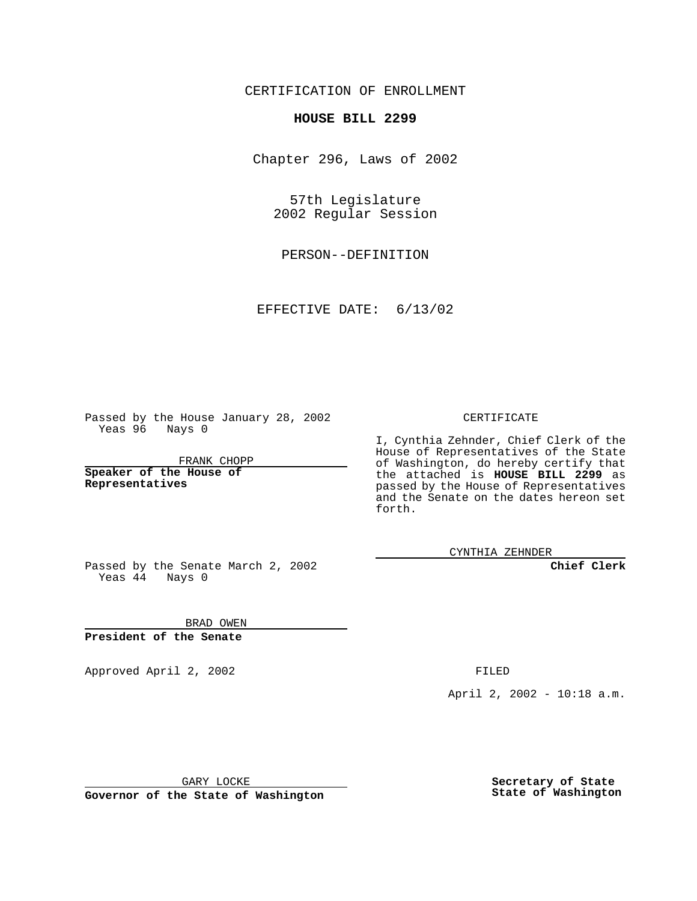CERTIFICATION OF ENROLLMENT

## **HOUSE BILL 2299**

Chapter 296, Laws of 2002

57th Legislature 2002 Regular Session

PERSON--DEFINITION

EFFECTIVE DATE: 6/13/02

Passed by the House January 28, 2002 Yeas 96 Nays 0

FRANK CHOPP

**Speaker of the House of Representatives**

CERTIFICATE

I, Cynthia Zehnder, Chief Clerk of the House of Representatives of the State of Washington, do hereby certify that the attached is **HOUSE BILL 2299** as passed by the House of Representatives and the Senate on the dates hereon set forth.

CYNTHIA ZEHNDER

**Chief Clerk**

Passed by the Senate March 2, 2002 Yeas  $4\overline{4}$  Nays 0

BRAD OWEN **President of the Senate**

Approved April 2, 2002 **FILED** 

April 2, 2002 - 10:18 a.m.

GARY LOCKE

**Governor of the State of Washington**

**Secretary of State State of Washington**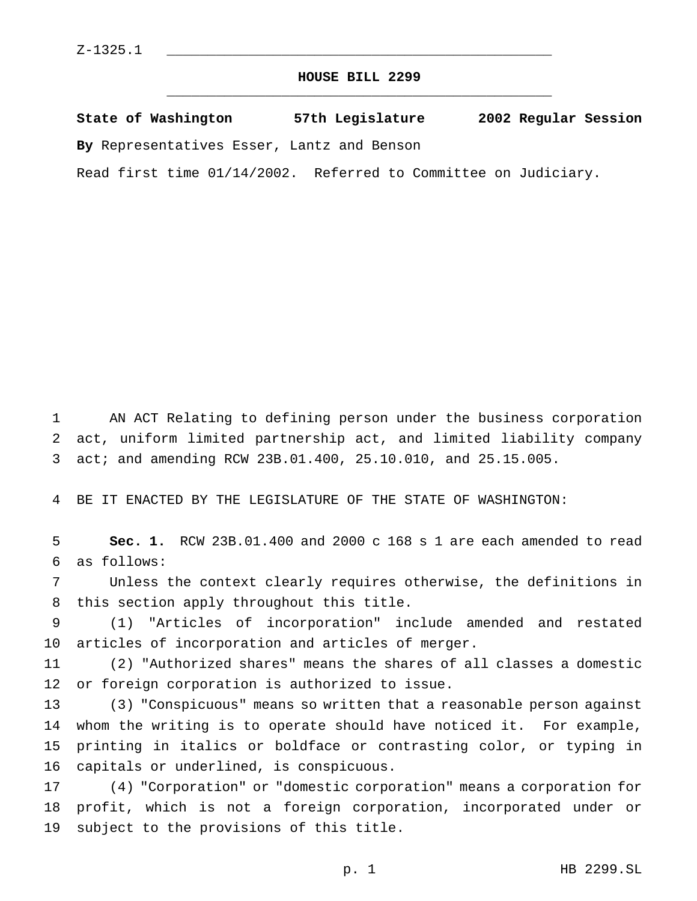## **HOUSE BILL 2299** \_\_\_\_\_\_\_\_\_\_\_\_\_\_\_\_\_\_\_\_\_\_\_\_\_\_\_\_\_\_\_\_\_\_\_\_\_\_\_\_\_\_\_\_\_\_\_

**State of Washington 57th Legislature 2002 Regular Session By** Representatives Esser, Lantz and Benson

Read first time 01/14/2002. Referred to Committee on Judiciary.

 AN ACT Relating to defining person under the business corporation act, uniform limited partnership act, and limited liability company act; and amending RCW 23B.01.400, 25.10.010, and 25.15.005.

BE IT ENACTED BY THE LEGISLATURE OF THE STATE OF WASHINGTON:

 **Sec. 1.** RCW 23B.01.400 and 2000 c 168 s 1 are each amended to read as follows:

 Unless the context clearly requires otherwise, the definitions in this section apply throughout this title.

 (1) "Articles of incorporation" include amended and restated articles of incorporation and articles of merger.

 (2) "Authorized shares" means the shares of all classes a domestic or foreign corporation is authorized to issue.

 (3) "Conspicuous" means so written that a reasonable person against whom the writing is to operate should have noticed it. For example, printing in italics or boldface or contrasting color, or typing in capitals or underlined, is conspicuous.

 (4) "Corporation" or "domestic corporation" means a corporation for profit, which is not a foreign corporation, incorporated under or subject to the provisions of this title.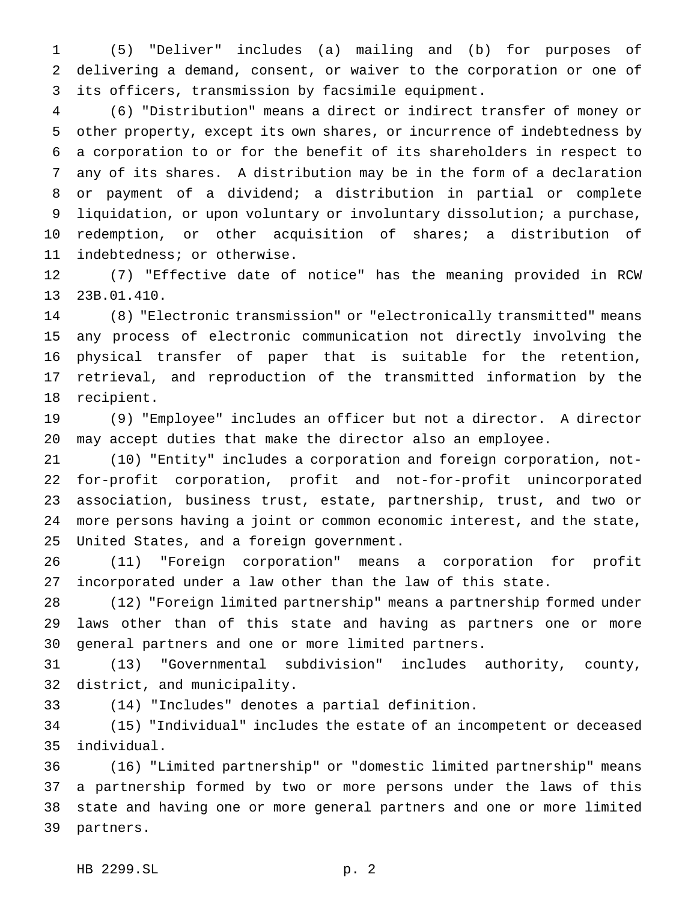(5) "Deliver" includes (a) mailing and (b) for purposes of delivering a demand, consent, or waiver to the corporation or one of its officers, transmission by facsimile equipment.

 (6) "Distribution" means a direct or indirect transfer of money or other property, except its own shares, or incurrence of indebtedness by a corporation to or for the benefit of its shareholders in respect to any of its shares. A distribution may be in the form of a declaration or payment of a dividend; a distribution in partial or complete liquidation, or upon voluntary or involuntary dissolution; a purchase, redemption, or other acquisition of shares; a distribution of indebtedness; or otherwise.

 (7) "Effective date of notice" has the meaning provided in RCW 23B.01.410.

 (8) "Electronic transmission" or "electronically transmitted" means any process of electronic communication not directly involving the physical transfer of paper that is suitable for the retention, retrieval, and reproduction of the transmitted information by the recipient.

 (9) "Employee" includes an officer but not a director. A director may accept duties that make the director also an employee.

 (10) "Entity" includes a corporation and foreign corporation, not- for-profit corporation, profit and not-for-profit unincorporated association, business trust, estate, partnership, trust, and two or more persons having a joint or common economic interest, and the state, United States, and a foreign government.

 (11) "Foreign corporation" means a corporation for profit incorporated under a law other than the law of this state.

 (12) "Foreign limited partnership" means a partnership formed under laws other than of this state and having as partners one or more general partners and one or more limited partners.

 (13) "Governmental subdivision" includes authority, county, district, and municipality.

(14) "Includes" denotes a partial definition.

 (15) "Individual" includes the estate of an incompetent or deceased individual.

 (16) "Limited partnership" or "domestic limited partnership" means a partnership formed by two or more persons under the laws of this state and having one or more general partners and one or more limited partners.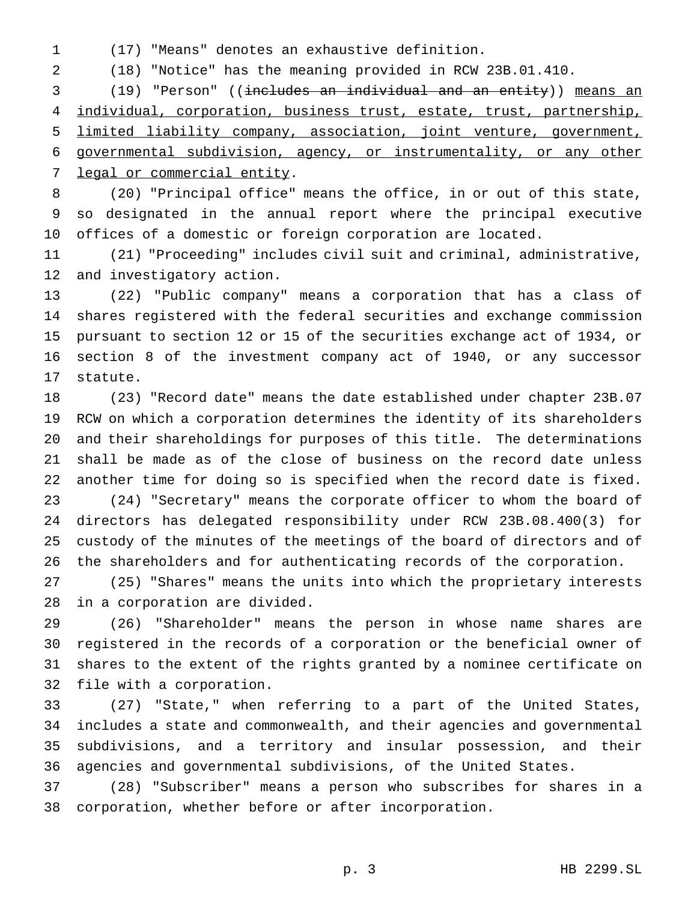(17) "Means" denotes an exhaustive definition.

(18) "Notice" has the meaning provided in RCW 23B.01.410.

 (19) "Person" ((includes an individual and an entity)) means an individual, corporation, business trust, estate, trust, partnership, limited liability company, association, joint venture, government, governmental subdivision, agency, or instrumentality, or any other 7 legal or commercial entity.

 (20) "Principal office" means the office, in or out of this state, so designated in the annual report where the principal executive offices of a domestic or foreign corporation are located.

 (21) "Proceeding" includes civil suit and criminal, administrative, and investigatory action.

 (22) "Public company" means a corporation that has a class of shares registered with the federal securities and exchange commission pursuant to section 12 or 15 of the securities exchange act of 1934, or section 8 of the investment company act of 1940, or any successor statute.

 (23) "Record date" means the date established under chapter 23B.07 RCW on which a corporation determines the identity of its shareholders and their shareholdings for purposes of this title. The determinations shall be made as of the close of business on the record date unless another time for doing so is specified when the record date is fixed. (24) "Secretary" means the corporate officer to whom the board of directors has delegated responsibility under RCW 23B.08.400(3) for custody of the minutes of the meetings of the board of directors and of the shareholders and for authenticating records of the corporation.

 (25) "Shares" means the units into which the proprietary interests in a corporation are divided.

 (26) "Shareholder" means the person in whose name shares are registered in the records of a corporation or the beneficial owner of shares to the extent of the rights granted by a nominee certificate on file with a corporation.

 (27) "State," when referring to a part of the United States, includes a state and commonwealth, and their agencies and governmental subdivisions, and a territory and insular possession, and their agencies and governmental subdivisions, of the United States.

 (28) "Subscriber" means a person who subscribes for shares in a corporation, whether before or after incorporation.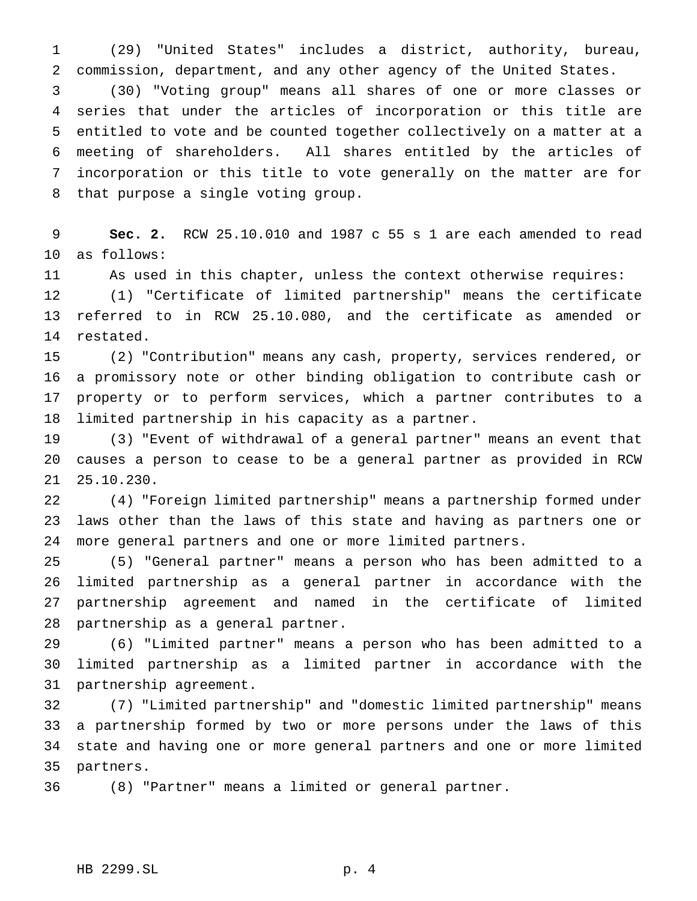(29) "United States" includes a district, authority, bureau, commission, department, and any other agency of the United States.

 (30) "Voting group" means all shares of one or more classes or series that under the articles of incorporation or this title are entitled to vote and be counted together collectively on a matter at a meeting of shareholders. All shares entitled by the articles of incorporation or this title to vote generally on the matter are for that purpose a single voting group.

 **Sec. 2.** RCW 25.10.010 and 1987 c 55 s 1 are each amended to read as follows:

As used in this chapter, unless the context otherwise requires:

 (1) "Certificate of limited partnership" means the certificate referred to in RCW 25.10.080, and the certificate as amended or restated.

 (2) "Contribution" means any cash, property, services rendered, or a promissory note or other binding obligation to contribute cash or property or to perform services, which a partner contributes to a limited partnership in his capacity as a partner.

 (3) "Event of withdrawal of a general partner" means an event that causes a person to cease to be a general partner as provided in RCW 25.10.230.

 (4) "Foreign limited partnership" means a partnership formed under laws other than the laws of this state and having as partners one or more general partners and one or more limited partners.

 (5) "General partner" means a person who has been admitted to a limited partnership as a general partner in accordance with the partnership agreement and named in the certificate of limited partnership as a general partner.

 (6) "Limited partner" means a person who has been admitted to a limited partnership as a limited partner in accordance with the partnership agreement.

 (7) "Limited partnership" and "domestic limited partnership" means a partnership formed by two or more persons under the laws of this state and having one or more general partners and one or more limited partners.

(8) "Partner" means a limited or general partner.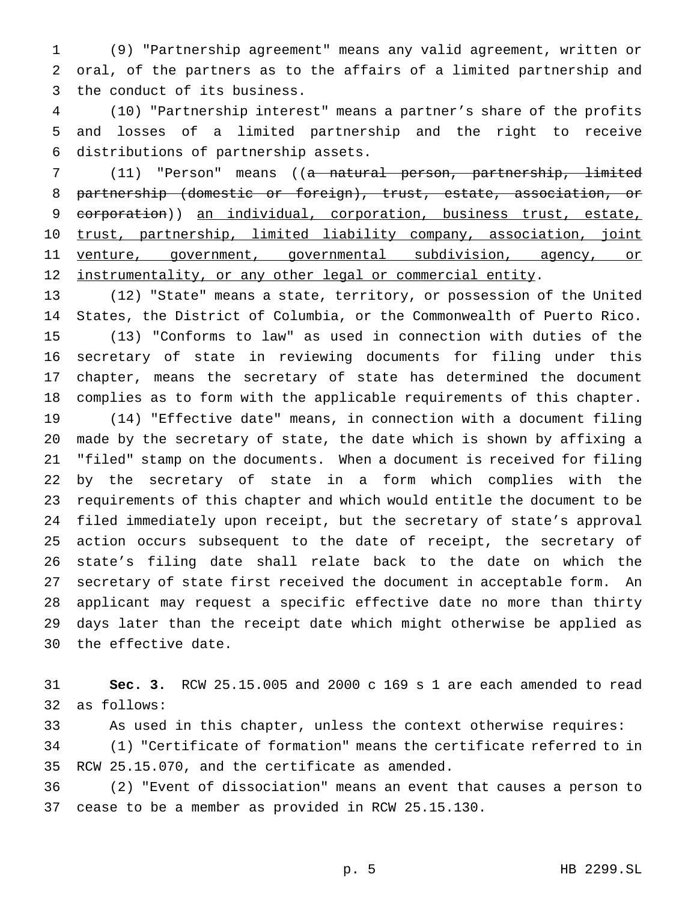(9) "Partnership agreement" means any valid agreement, written or oral, of the partners as to the affairs of a limited partnership and the conduct of its business.

 (10) "Partnership interest" means a partner's share of the profits and losses of a limited partnership and the right to receive distributions of partnership assets.

 (11) "Person" means ((a natural person, partnership, limited partnership (domestic or foreign), trust, estate, association, or 9 corporation)) an individual, corporation, business trust, estate, trust, partnership, limited liability company, association, joint venture, government, governmental subdivision, agency, or 12 instrumentality, or any other legal or commercial entity.

 (12) "State" means a state, territory, or possession of the United States, the District of Columbia, or the Commonwealth of Puerto Rico. (13) "Conforms to law" as used in connection with duties of the secretary of state in reviewing documents for filing under this chapter, means the secretary of state has determined the document complies as to form with the applicable requirements of this chapter.

 (14) "Effective date" means, in connection with a document filing made by the secretary of state, the date which is shown by affixing a "filed" stamp on the documents. When a document is received for filing by the secretary of state in a form which complies with the requirements of this chapter and which would entitle the document to be filed immediately upon receipt, but the secretary of state's approval action occurs subsequent to the date of receipt, the secretary of state's filing date shall relate back to the date on which the secretary of state first received the document in acceptable form. An applicant may request a specific effective date no more than thirty days later than the receipt date which might otherwise be applied as the effective date.

 **Sec. 3.** RCW 25.15.005 and 2000 c 169 s 1 are each amended to read as follows:

As used in this chapter, unless the context otherwise requires:

 (1) "Certificate of formation" means the certificate referred to in RCW 25.15.070, and the certificate as amended.

 (2) "Event of dissociation" means an event that causes a person to cease to be a member as provided in RCW 25.15.130.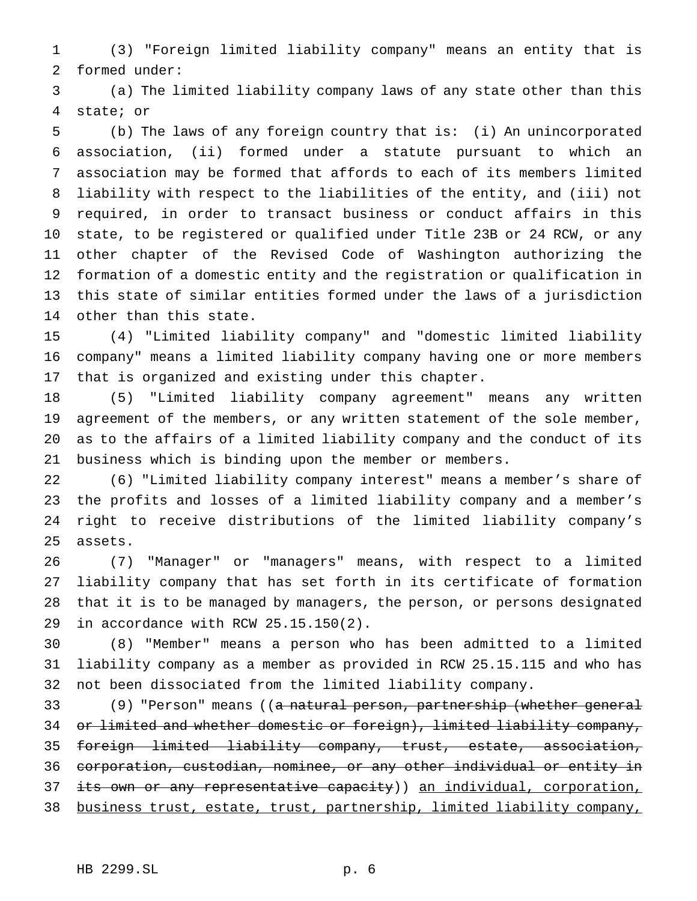(3) "Foreign limited liability company" means an entity that is formed under:

 (a) The limited liability company laws of any state other than this state; or

 (b) The laws of any foreign country that is: (i) An unincorporated association, (ii) formed under a statute pursuant to which an association may be formed that affords to each of its members limited liability with respect to the liabilities of the entity, and (iii) not required, in order to transact business or conduct affairs in this state, to be registered or qualified under Title 23B or 24 RCW, or any other chapter of the Revised Code of Washington authorizing the formation of a domestic entity and the registration or qualification in this state of similar entities formed under the laws of a jurisdiction other than this state.

 (4) "Limited liability company" and "domestic limited liability company" means a limited liability company having one or more members that is organized and existing under this chapter.

 (5) "Limited liability company agreement" means any written agreement of the members, or any written statement of the sole member, as to the affairs of a limited liability company and the conduct of its business which is binding upon the member or members.

 (6) "Limited liability company interest" means a member's share of the profits and losses of a limited liability company and a member's right to receive distributions of the limited liability company's assets.

 (7) "Manager" or "managers" means, with respect to a limited liability company that has set forth in its certificate of formation that it is to be managed by managers, the person, or persons designated in accordance with RCW 25.15.150(2).

 (8) "Member" means a person who has been admitted to a limited liability company as a member as provided in RCW 25.15.115 and who has not been dissociated from the limited liability company.

33 (9) "Person" means ((<del>a natural person, partnership (whether general</del> or limited and whether domestic or foreign), limited liability company, foreign limited liability company, trust, estate, association, corporation, custodian, nominee, or any other individual or entity in 37 its own or any representative capacity)) an individual, corporation, business trust, estate, trust, partnership, limited liability company,